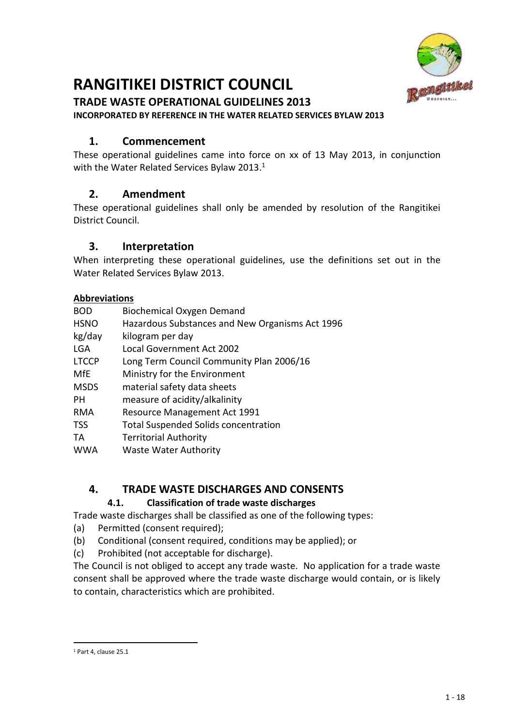

# **RANGITIKEI DISTRICT COUNCIL**

# **TRADE WASTE OPERATIONAL GUIDELINES 2013**

**INCORPORATED BY REFERENCE IN THE WATER RELATED SERVICES BYLAW 2013**

# **1. Commencement**

These operational guidelines came into force on xx of 13 May 2013, in conjunction with the Water Related Services Bylaw 2013.<sup>1</sup>

# **2. Amendment**

These operational guidelines shall only be amended by resolution of the Rangitikei District Council.

# **3. Interpretation**

When interpreting these operational guidelines, use the definitions set out in the Water Related Services Bylaw 2013.

# **Abbreviations**

| <b>BOD</b>   | <b>Biochemical Oxygen Demand</b>                |
|--------------|-------------------------------------------------|
| <b>HSNO</b>  | Hazardous Substances and New Organisms Act 1996 |
| kg/day       | kilogram per day                                |
| LGA          | Local Government Act 2002                       |
| <b>LTCCP</b> | Long Term Council Community Plan 2006/16        |
| MfE          | Ministry for the Environment                    |
| <b>MSDS</b>  | material safety data sheets                     |
| PН           | measure of acidity/alkalinity                   |
| <b>RMA</b>   | Resource Management Act 1991                    |
| TSS          | <b>Total Suspended Solids concentration</b>     |
| TА           | <b>Territorial Authority</b>                    |
| <b>WWA</b>   | <b>Waste Water Authority</b>                    |

# **4. TRADE WASTE DISCHARGES AND CONSENTS**

# **4.1. Classification of trade waste discharges**

Trade waste discharges shall be classified as one of the following types:

- (a) Permitted (consent required);
- (b) Conditional (consent required, conditions may be applied); or
- (c) Prohibited (not acceptable for discharge).

The Council is not obliged to accept any trade waste. No application for a trade waste consent shall be approved where the trade waste discharge would contain, or is likely to contain, characteristics which are prohibited.

<sup>.</sup> <sup>1</sup> Part 4, clause 25.1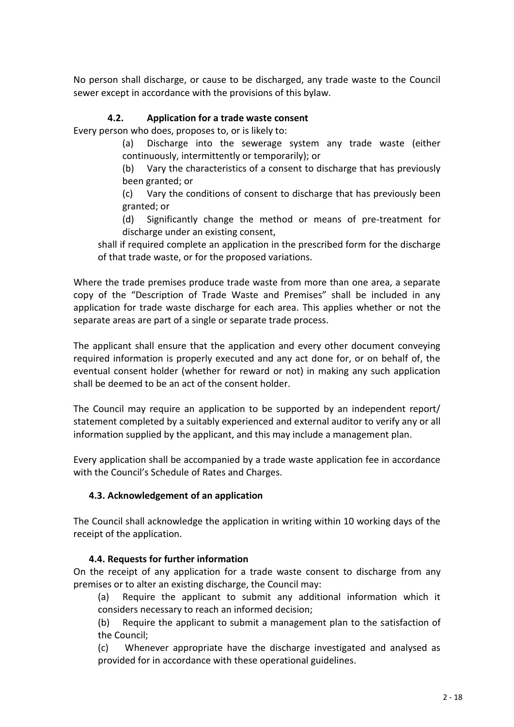No person shall discharge, or cause to be discharged, any trade waste to the Council sewer except in accordance with the provisions of this bylaw.

# **4.2. Application for a trade waste consent**

Every person who does, proposes to, or is likely to:

(a) Discharge into the sewerage system any trade waste (either continuously, intermittently or temporarily); or

(b) Vary the characteristics of a consent to discharge that has previously been granted; or

(c) Vary the conditions of consent to discharge that has previously been granted; or

(d) Significantly change the method or means of pre-treatment for discharge under an existing consent,

shall if required complete an application in the prescribed form for the discharge of that trade waste, or for the proposed variations.

Where the trade premises produce trade waste from more than one area, a separate copy of the "Description of Trade Waste and Premises" shall be included in any application for trade waste discharge for each area. This applies whether or not the separate areas are part of a single or separate trade process.

The applicant shall ensure that the application and every other document conveying required information is properly executed and any act done for, or on behalf of, the eventual consent holder (whether for reward or not) in making any such application shall be deemed to be an act of the consent holder.

The Council may require an application to be supported by an independent report/ statement completed by a suitably experienced and external auditor to verify any or all information supplied by the applicant, and this may include a management plan.

Every application shall be accompanied by a trade waste application fee in accordance with the Council's Schedule of Rates and Charges.

# **4.3. Acknowledgement of an application**

The Council shall acknowledge the application in writing within 10 working days of the receipt of the application.

#### **4.4. Requests for further information**

On the receipt of any application for a trade waste consent to discharge from any premises or to alter an existing discharge, the Council may:

(a) Require the applicant to submit any additional information which it considers necessary to reach an informed decision;

(b) Require the applicant to submit a management plan to the satisfaction of the Council;

(c) Whenever appropriate have the discharge investigated and analysed as provided for in accordance with these operational guidelines.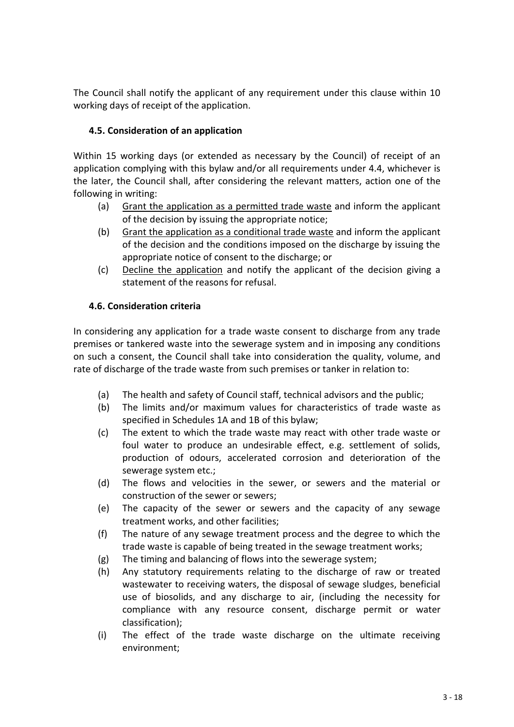The Council shall notify the applicant of any requirement under this clause within 10 working days of receipt of the application.

# **4.5. Consideration of an application**

Within 15 working days (or extended as necessary by the Council) of receipt of an application complying with this bylaw and/or all requirements under 4.4, whichever is the later, the Council shall, after considering the relevant matters, action one of the following in writing:

- (a) Grant the application as a permitted trade waste and inform the applicant of the decision by issuing the appropriate notice;
- (b) Grant the application as a conditional trade waste and inform the applicant of the decision and the conditions imposed on the discharge by issuing the appropriate notice of consent to the discharge; or
- (c) Decline the application and notify the applicant of the decision giving a statement of the reasons for refusal.

# **4.6. Consideration criteria**

In considering any application for a trade waste consent to discharge from any trade premises or tankered waste into the sewerage system and in imposing any conditions on such a consent, the Council shall take into consideration the quality, volume, and rate of discharge of the trade waste from such premises or tanker in relation to:

- (a) The health and safety of Council staff, technical advisors and the public;
- (b) The limits and/or maximum values for characteristics of trade waste as specified in Schedules 1A and 1B of this bylaw;
- (c) The extent to which the trade waste may react with other trade waste or foul water to produce an undesirable effect, e.g. settlement of solids, production of odours, accelerated corrosion and deterioration of the sewerage system etc.;
- (d) The flows and velocities in the sewer, or sewers and the material or construction of the sewer or sewers;
- (e) The capacity of the sewer or sewers and the capacity of any sewage treatment works, and other facilities;
- (f) The nature of any sewage treatment process and the degree to which the trade waste is capable of being treated in the sewage treatment works;
- (g) The timing and balancing of flows into the sewerage system;
- (h) Any statutory requirements relating to the discharge of raw or treated wastewater to receiving waters, the disposal of sewage sludges, beneficial use of biosolids, and any discharge to air, (including the necessity for compliance with any resource consent, discharge permit or water classification);
- (i) The effect of the trade waste discharge on the ultimate receiving environment;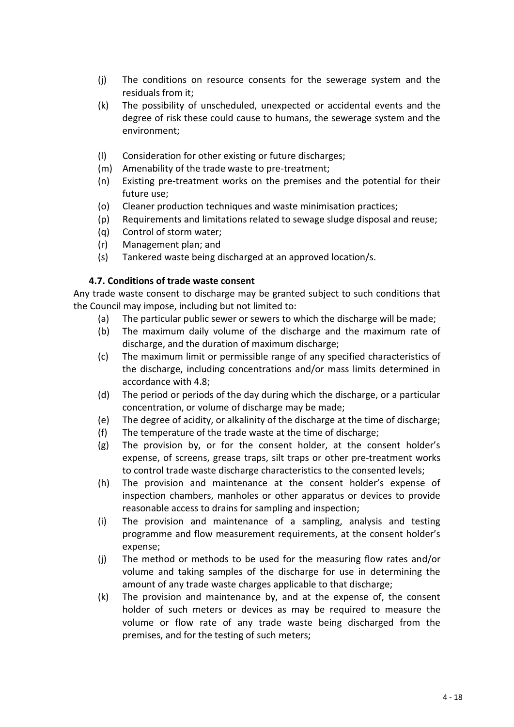- (j) The conditions on resource consents for the sewerage system and the residuals from it;
- (k) The possibility of unscheduled, unexpected or accidental events and the degree of risk these could cause to humans, the sewerage system and the environment;
- (l) Consideration for other existing or future discharges;
- (m) Amenability of the trade waste to pre-treatment;
- (n) Existing pre-treatment works on the premises and the potential for their future use;
- (o) Cleaner production techniques and waste minimisation practices;
- (p) Requirements and limitations related to sewage sludge disposal and reuse;
- (q) Control of storm water;
- (r) Management plan; and
- (s) Tankered waste being discharged at an approved location/s.

#### **4.7. Conditions of trade waste consent**

Any trade waste consent to discharge may be granted subject to such conditions that the Council may impose, including but not limited to:

- (a) The particular public sewer or sewers to which the discharge will be made;
- (b) The maximum daily volume of the discharge and the maximum rate of discharge, and the duration of maximum discharge;
- (c) The maximum limit or permissible range of any specified characteristics of the discharge, including concentrations and/or mass limits determined in accordance with 4.8;
- (d) The period or periods of the day during which the discharge, or a particular concentration, or volume of discharge may be made;
- (e) The degree of acidity, or alkalinity of the discharge at the time of discharge;
- (f) The temperature of the trade waste at the time of discharge;
- (g) The provision by, or for the consent holder, at the consent holder's expense, of screens, grease traps, silt traps or other pre-treatment works to control trade waste discharge characteristics to the consented levels;
- (h) The provision and maintenance at the consent holder's expense of inspection chambers, manholes or other apparatus or devices to provide reasonable access to drains for sampling and inspection;
- (i) The provision and maintenance of a sampling, analysis and testing programme and flow measurement requirements, at the consent holder's expense;
- (j) The method or methods to be used for the measuring flow rates and/or volume and taking samples of the discharge for use in determining the amount of any trade waste charges applicable to that discharge;
- (k) The provision and maintenance by, and at the expense of, the consent holder of such meters or devices as may be required to measure the volume or flow rate of any trade waste being discharged from the premises, and for the testing of such meters;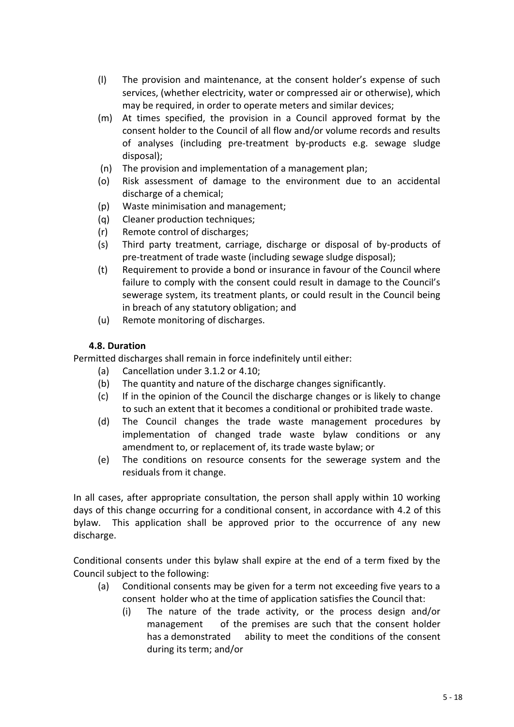- (l) The provision and maintenance, at the consent holder's expense of such services, (whether electricity, water or compressed air or otherwise), which may be required, in order to operate meters and similar devices;
- (m) At times specified, the provision in a Council approved format by the consent holder to the Council of all flow and/or volume records and results of analyses (including pre-treatment by-products e.g. sewage sludge disposal);
- (n) The provision and implementation of a management plan;
- (o) Risk assessment of damage to the environment due to an accidental discharge of a chemical;
- (p) Waste minimisation and management;
- (q) Cleaner production techniques;
- (r) Remote control of discharges;
- (s) Third party treatment, carriage, discharge or disposal of by-products of pre-treatment of trade waste (including sewage sludge disposal);
- (t) Requirement to provide a bond or insurance in favour of the Council where failure to comply with the consent could result in damage to the Council's sewerage system, its treatment plants, or could result in the Council being in breach of any statutory obligation; and
- (u) Remote monitoring of discharges.

# **4.8. Duration**

Permitted discharges shall remain in force indefinitely until either:

- (a) Cancellation under 3.1.2 or 4.10;
- (b) The quantity and nature of the discharge changes significantly.
- (c) If in the opinion of the Council the discharge changes or is likely to change to such an extent that it becomes a conditional or prohibited trade waste.
- (d) The Council changes the trade waste management procedures by implementation of changed trade waste bylaw conditions or any amendment to, or replacement of, its trade waste bylaw; or
- (e) The conditions on resource consents for the sewerage system and the residuals from it change.

In all cases, after appropriate consultation, the person shall apply within 10 working days of this change occurring for a conditional consent, in accordance with 4.2 of this bylaw. This application shall be approved prior to the occurrence of any new discharge.

Conditional consents under this bylaw shall expire at the end of a term fixed by the Council subject to the following:

- (a) Conditional consents may be given for a term not exceeding five years to a consent holder who at the time of application satisfies the Council that:
	- (i) The nature of the trade activity, or the process design and/or management of the premises are such that the consent holder has a demonstrated ability to meet the conditions of the consent during its term; and/or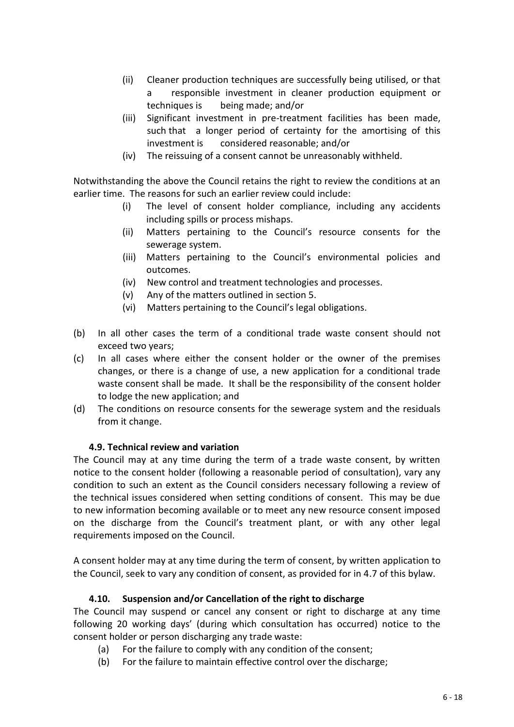- (ii) Cleaner production techniques are successfully being utilised, or that a responsible investment in cleaner production equipment or techniques is being made; and/or
- (iii) Significant investment in pre-treatment facilities has been made, such that a longer period of certainty for the amortising of this investment is considered reasonable; and/or
- (iv) The reissuing of a consent cannot be unreasonably withheld.

Notwithstanding the above the Council retains the right to review the conditions at an earlier time. The reasons for such an earlier review could include:

- (i) The level of consent holder compliance, including any accidents including spills or process mishaps.
- (ii) Matters pertaining to the Council's resource consents for the sewerage system.
- (iii) Matters pertaining to the Council's environmental policies and outcomes.
- (iv) New control and treatment technologies and processes.
- (v) Any of the matters outlined in section 5.
- (vi) Matters pertaining to the Council's legal obligations.
- (b) In all other cases the term of a conditional trade waste consent should not exceed two years;
- (c) In all cases where either the consent holder or the owner of the premises changes, or there is a change of use, a new application for a conditional trade waste consent shall be made. It shall be the responsibility of the consent holder to lodge the new application; and
- (d) The conditions on resource consents for the sewerage system and the residuals from it change.

# **4.9. Technical review and variation**

The Council may at any time during the term of a trade waste consent, by written notice to the consent holder (following a reasonable period of consultation), vary any condition to such an extent as the Council considers necessary following a review of the technical issues considered when setting conditions of consent. This may be due to new information becoming available or to meet any new resource consent imposed on the discharge from the Council's treatment plant, or with any other legal requirements imposed on the Council.

A consent holder may at any time during the term of consent, by written application to the Council, seek to vary any condition of consent, as provided for in 4.7 of this bylaw.

# **4.10. Suspension and/or Cancellation of the right to discharge**

The Council may suspend or cancel any consent or right to discharge at any time following 20 working days' (during which consultation has occurred) notice to the consent holder or person discharging any trade waste:

- (a) For the failure to comply with any condition of the consent;
- (b) For the failure to maintain effective control over the discharge;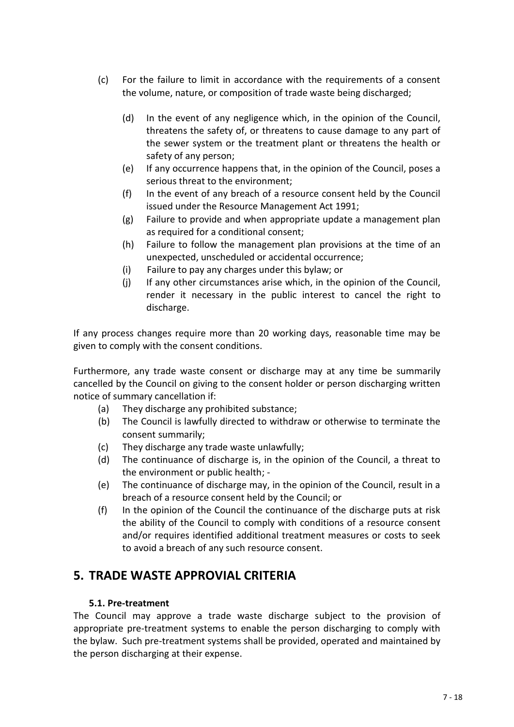- (c) For the failure to limit in accordance with the requirements of a consent the volume, nature, or composition of trade waste being discharged;
	- (d) In the event of any negligence which, in the opinion of the Council, threatens the safety of, or threatens to cause damage to any part of the sewer system or the treatment plant or threatens the health or safety of any person;
	- (e) If any occurrence happens that, in the opinion of the Council, poses a serious threat to the environment;
	- (f) In the event of any breach of a resource consent held by the Council issued under the Resource Management Act 1991;
	- (g) Failure to provide and when appropriate update a management plan as required for a conditional consent;
	- (h) Failure to follow the management plan provisions at the time of an unexpected, unscheduled or accidental occurrence;
	- (i) Failure to pay any charges under this bylaw; or
	- (j) If any other circumstances arise which, in the opinion of the Council, render it necessary in the public interest to cancel the right to discharge.

If any process changes require more than 20 working days, reasonable time may be given to comply with the consent conditions.

Furthermore, any trade waste consent or discharge may at any time be summarily cancelled by the Council on giving to the consent holder or person discharging written notice of summary cancellation if:

- (a) They discharge any prohibited substance;
- (b) The Council is lawfully directed to withdraw or otherwise to terminate the consent summarily;
- (c) They discharge any trade waste unlawfully;
- (d) The continuance of discharge is, in the opinion of the Council, a threat to the environment or public health; -
- (e) The continuance of discharge may, in the opinion of the Council, result in a breach of a resource consent held by the Council; or
- (f) In the opinion of the Council the continuance of the discharge puts at risk the ability of the Council to comply with conditions of a resource consent and/or requires identified additional treatment measures or costs to seek to avoid a breach of any such resource consent.

# **5. TRADE WASTE APPROVIAL CRITERIA**

# **5.1. Pre-treatment**

The Council may approve a trade waste discharge subject to the provision of appropriate pre-treatment systems to enable the person discharging to comply with the bylaw. Such pre-treatment systems shall be provided, operated and maintained by the person discharging at their expense.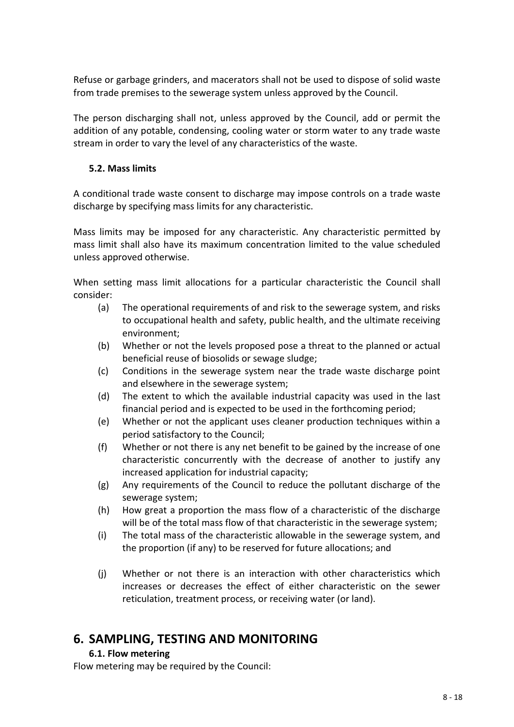Refuse or garbage grinders, and macerators shall not be used to dispose of solid waste from trade premises to the sewerage system unless approved by the Council.

The person discharging shall not, unless approved by the Council, add or permit the addition of any potable, condensing, cooling water or storm water to any trade waste stream in order to vary the level of any characteristics of the waste.

# **5.2. Mass limits**

A conditional trade waste consent to discharge may impose controls on a trade waste discharge by specifying mass limits for any characteristic.

Mass limits may be imposed for any characteristic. Any characteristic permitted by mass limit shall also have its maximum concentration limited to the value scheduled unless approved otherwise.

When setting mass limit allocations for a particular characteristic the Council shall consider:

- (a) The operational requirements of and risk to the sewerage system, and risks to occupational health and safety, public health, and the ultimate receiving environment;
- (b) Whether or not the levels proposed pose a threat to the planned or actual beneficial reuse of biosolids or sewage sludge;
- (c) Conditions in the sewerage system near the trade waste discharge point and elsewhere in the sewerage system;
- (d) The extent to which the available industrial capacity was used in the last financial period and is expected to be used in the forthcoming period;
- (e) Whether or not the applicant uses cleaner production techniques within a period satisfactory to the Council;
- (f) Whether or not there is any net benefit to be gained by the increase of one characteristic concurrently with the decrease of another to justify any increased application for industrial capacity;
- (g) Any requirements of the Council to reduce the pollutant discharge of the sewerage system;
- (h) How great a proportion the mass flow of a characteristic of the discharge will be of the total mass flow of that characteristic in the sewerage system;
- (i) The total mass of the characteristic allowable in the sewerage system, and the proportion (if any) to be reserved for future allocations; and
- (j) Whether or not there is an interaction with other characteristics which increases or decreases the effect of either characteristic on the sewer reticulation, treatment process, or receiving water (or land).

# **6. SAMPLING, TESTING AND MONITORING**

# **6.1. Flow metering**

Flow metering may be required by the Council: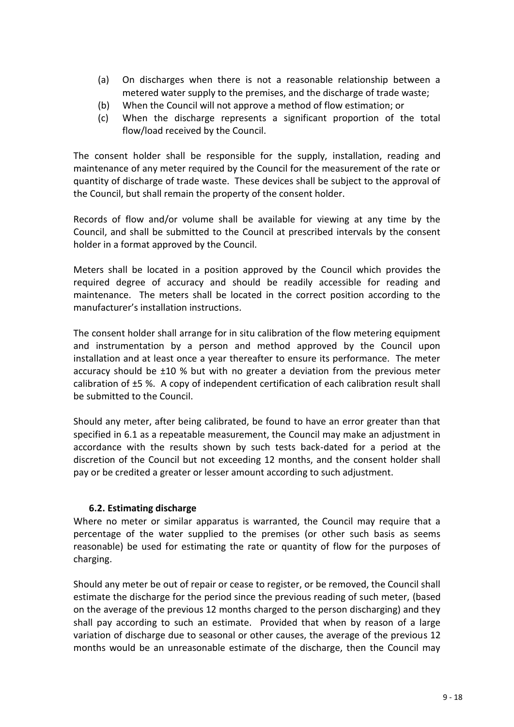- (a) On discharges when there is not a reasonable relationship between a metered water supply to the premises, and the discharge of trade waste;
- (b) When the Council will not approve a method of flow estimation; or
- (c) When the discharge represents a significant proportion of the total flow/load received by the Council.

The consent holder shall be responsible for the supply, installation, reading and maintenance of any meter required by the Council for the measurement of the rate or quantity of discharge of trade waste. These devices shall be subject to the approval of the Council, but shall remain the property of the consent holder.

Records of flow and/or volume shall be available for viewing at any time by the Council, and shall be submitted to the Council at prescribed intervals by the consent holder in a format approved by the Council.

Meters shall be located in a position approved by the Council which provides the required degree of accuracy and should be readily accessible for reading and maintenance. The meters shall be located in the correct position according to the manufacturer's installation instructions.

The consent holder shall arrange for in situ calibration of the flow metering equipment and instrumentation by a person and method approved by the Council upon installation and at least once a year thereafter to ensure its performance. The meter accuracy should be ±10 % but with no greater a deviation from the previous meter calibration of ±5 %. A copy of independent certification of each calibration result shall be submitted to the Council.

Should any meter, after being calibrated, be found to have an error greater than that specified in 6.1 as a repeatable measurement, the Council may make an adjustment in accordance with the results shown by such tests back-dated for a period at the discretion of the Council but not exceeding 12 months, and the consent holder shall pay or be credited a greater or lesser amount according to such adjustment.

# **6.2. Estimating discharge**

Where no meter or similar apparatus is warranted, the Council may require that a percentage of the water supplied to the premises (or other such basis as seems reasonable) be used for estimating the rate or quantity of flow for the purposes of charging.

Should any meter be out of repair or cease to register, or be removed, the Council shall estimate the discharge for the period since the previous reading of such meter, (based on the average of the previous 12 months charged to the person discharging) and they shall pay according to such an estimate. Provided that when by reason of a large variation of discharge due to seasonal or other causes, the average of the previous 12 months would be an unreasonable estimate of the discharge, then the Council may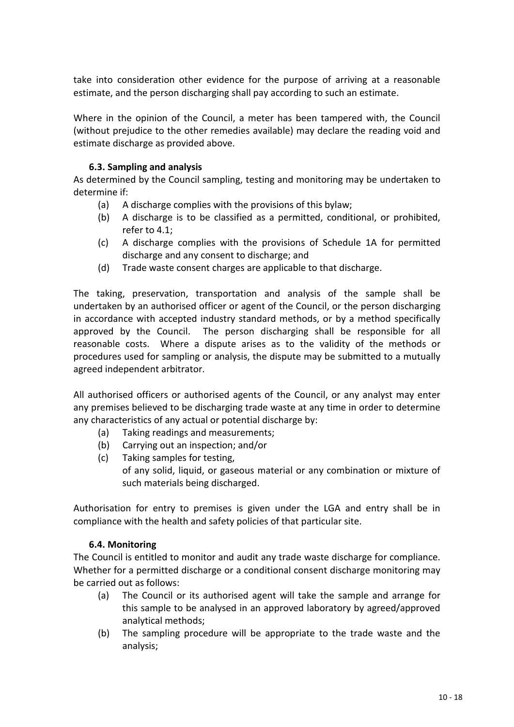take into consideration other evidence for the purpose of arriving at a reasonable estimate, and the person discharging shall pay according to such an estimate.

Where in the opinion of the Council, a meter has been tampered with, the Council (without prejudice to the other remedies available) may declare the reading void and estimate discharge as provided above.

# **6.3. Sampling and analysis**

As determined by the Council sampling, testing and monitoring may be undertaken to determine if:

- (a) A discharge complies with the provisions of this bylaw;
- (b) A discharge is to be classified as a permitted, conditional, or prohibited, refer to 4.1;
- (c) A discharge complies with the provisions of Schedule 1A for permitted discharge and any consent to discharge; and
- (d) Trade waste consent charges are applicable to that discharge.

The taking, preservation, transportation and analysis of the sample shall be undertaken by an authorised officer or agent of the Council, or the person discharging in accordance with accepted industry standard methods, or by a method specifically approved by the Council. The person discharging shall be responsible for all reasonable costs. Where a dispute arises as to the validity of the methods or procedures used for sampling or analysis, the dispute may be submitted to a mutually agreed independent arbitrator.

All authorised officers or authorised agents of the Council, or any analyst may enter any premises believed to be discharging trade waste at any time in order to determine any characteristics of any actual or potential discharge by:

- (a) Taking readings and measurements;
- (b) Carrying out an inspection; and/or
- (c) Taking samples for testing, of any solid, liquid, or gaseous material or any combination or mixture of such materials being discharged.

Authorisation for entry to premises is given under the LGA and entry shall be in compliance with the health and safety policies of that particular site.

# **6.4. Monitoring**

The Council is entitled to monitor and audit any trade waste discharge for compliance. Whether for a permitted discharge or a conditional consent discharge monitoring may be carried out as follows:

- (a) The Council or its authorised agent will take the sample and arrange for this sample to be analysed in an approved laboratory by agreed/approved analytical methods;
- (b) The sampling procedure will be appropriate to the trade waste and the analysis;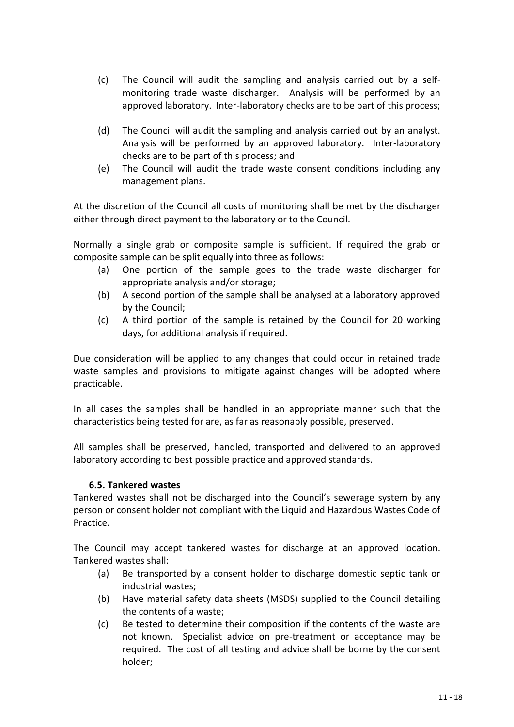- (c) The Council will audit the sampling and analysis carried out by a selfmonitoring trade waste discharger. Analysis will be performed by an approved laboratory. Inter-laboratory checks are to be part of this process;
- (d) The Council will audit the sampling and analysis carried out by an analyst. Analysis will be performed by an approved laboratory. Inter-laboratory checks are to be part of this process; and
- (e) The Council will audit the trade waste consent conditions including any management plans.

At the discretion of the Council all costs of monitoring shall be met by the discharger either through direct payment to the laboratory or to the Council.

Normally a single grab or composite sample is sufficient. If required the grab or composite sample can be split equally into three as follows:

- (a) One portion of the sample goes to the trade waste discharger for appropriate analysis and/or storage;
- (b) A second portion of the sample shall be analysed at a laboratory approved by the Council;
- (c) A third portion of the sample is retained by the Council for 20 working days, for additional analysis if required.

Due consideration will be applied to any changes that could occur in retained trade waste samples and provisions to mitigate against changes will be adopted where practicable.

In all cases the samples shall be handled in an appropriate manner such that the characteristics being tested for are, as far as reasonably possible, preserved.

All samples shall be preserved, handled, transported and delivered to an approved laboratory according to best possible practice and approved standards.

# **6.5. Tankered wastes**

Tankered wastes shall not be discharged into the Council's sewerage system by any person or consent holder not compliant with the Liquid and Hazardous Wastes Code of Practice.

The Council may accept tankered wastes for discharge at an approved location. Tankered wastes shall:

- (a) Be transported by a consent holder to discharge domestic septic tank or industrial wastes;
- (b) Have material safety data sheets (MSDS) supplied to the Council detailing the contents of a waste;
- (c) Be tested to determine their composition if the contents of the waste are not known. Specialist advice on pre-treatment or acceptance may be required. The cost of all testing and advice shall be borne by the consent holder;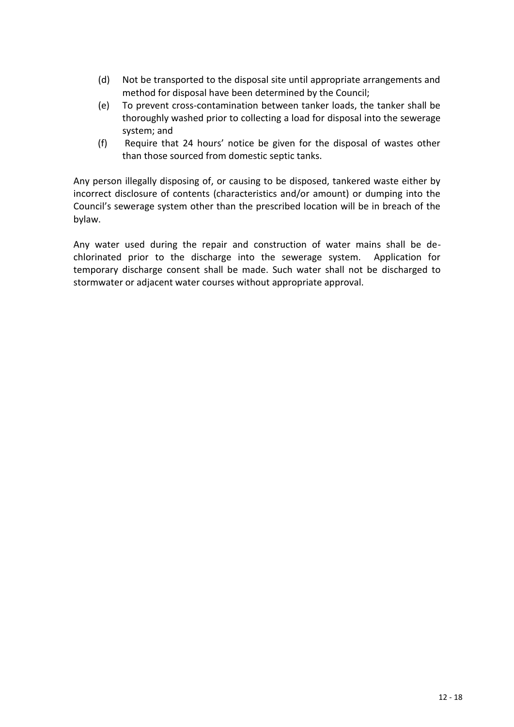- (d) Not be transported to the disposal site until appropriate arrangements and method for disposal have been determined by the Council;
- (e) To prevent cross-contamination between tanker loads, the tanker shall be thoroughly washed prior to collecting a load for disposal into the sewerage system; and
- (f) Require that 24 hours' notice be given for the disposal of wastes other than those sourced from domestic septic tanks.

Any person illegally disposing of, or causing to be disposed, tankered waste either by incorrect disclosure of contents (characteristics and/or amount) or dumping into the Council's sewerage system other than the prescribed location will be in breach of the bylaw.

Any water used during the repair and construction of water mains shall be dechlorinated prior to the discharge into the sewerage system. Application for temporary discharge consent shall be made. Such water shall not be discharged to stormwater or adjacent water courses without appropriate approval.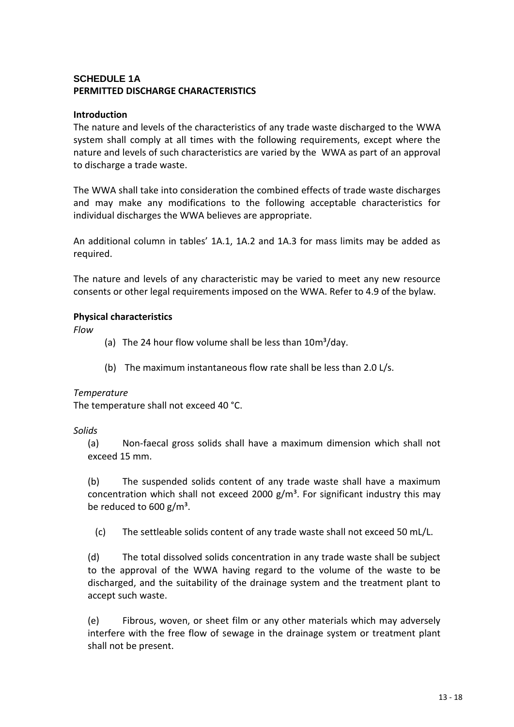# **SCHEDULE 1A PERMITTED DISCHARGE CHARACTERISTICS**

#### **Introduction**

The nature and levels of the characteristics of any trade waste discharged to the WWA system shall comply at all times with the following requirements, except where the nature and levels of such characteristics are varied by the WWA as part of an approval to discharge a trade waste.

The WWA shall take into consideration the combined effects of trade waste discharges and may make any modifications to the following acceptable characteristics for individual discharges the WWA believes are appropriate.

An additional column in tables' 1A.1, 1A.2 and 1A.3 for mass limits may be added as required.

The nature and levels of any characteristic may be varied to meet any new resource consents or other legal requirements imposed on the WWA. Refer to 4.9 of the bylaw.

#### **Physical characteristics**

*Flow*

- (a) The 24 hour flow volume shall be less than  $10m^3$ /day.
- (b) The maximum instantaneous flow rate shall be less than 2.0 L/s.

#### *Temperature*

The temperature shall not exceed 40 °C.

#### *Solids*

(a) Non-faecal gross solids shall have a maximum dimension which shall not exceed 15 mm.

(b) The suspended solids content of any trade waste shall have a maximum concentration which shall not exceed 2000  $g/m<sup>3</sup>$ . For significant industry this may be reduced to  $600 g/m<sup>3</sup>$ .

(c) The settleable solids content of any trade waste shall not exceed 50 mL/L.

(d) The total dissolved solids concentration in any trade waste shall be subject to the approval of the WWA having regard to the volume of the waste to be discharged, and the suitability of the drainage system and the treatment plant to accept such waste.

(e) Fibrous, woven, or sheet film or any other materials which may adversely interfere with the free flow of sewage in the drainage system or treatment plant shall not be present.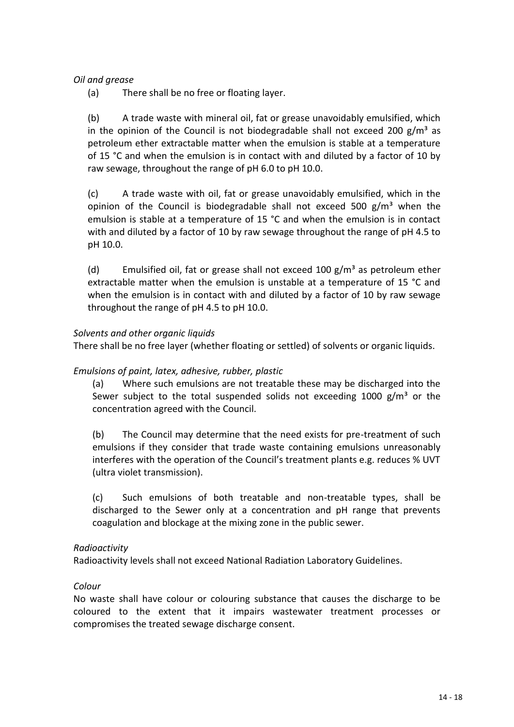#### *Oil and grease*

(a) There shall be no free or floating layer.

(b) A trade waste with mineral oil, fat or grease unavoidably emulsified, which in the opinion of the Council is not biodegradable shall not exceed 200  $g/m^3$  as petroleum ether extractable matter when the emulsion is stable at a temperature of 15 °C and when the emulsion is in contact with and diluted by a factor of 10 by raw sewage, throughout the range of pH 6.0 to pH 10.0.

(c) A trade waste with oil, fat or grease unavoidably emulsified, which in the opinion of the Council is biodegradable shall not exceed 500  $g/m<sup>3</sup>$  when the emulsion is stable at a temperature of 15 °C and when the emulsion is in contact with and diluted by a factor of 10 by raw sewage throughout the range of pH 4.5 to pH 10.0.

(d) Emulsified oil, fat or grease shall not exceed 100  $g/m<sup>3</sup>$  as petroleum ether extractable matter when the emulsion is unstable at a temperature of 15 °C and when the emulsion is in contact with and diluted by a factor of 10 by raw sewage throughout the range of pH 4.5 to pH 10.0.

#### *Solvents and other organic liquids*

There shall be no free layer (whether floating or settled) of solvents or organic liquids.

#### *Emulsions of paint, latex, adhesive, rubber, plastic*

(a) Where such emulsions are not treatable these may be discharged into the Sewer subject to the total suspended solids not exceeding 1000  $g/m^3$  or the concentration agreed with the Council.

(b) The Council may determine that the need exists for pre-treatment of such emulsions if they consider that trade waste containing emulsions unreasonably interferes with the operation of the Council's treatment plants e.g. reduces % UVT (ultra violet transmission).

(c) Such emulsions of both treatable and non-treatable types, shall be discharged to the Sewer only at a concentration and pH range that prevents coagulation and blockage at the mixing zone in the public sewer.

#### *Radioactivity*

Radioactivity levels shall not exceed National Radiation Laboratory Guidelines.

#### *Colour*

No waste shall have colour or colouring substance that causes the discharge to be coloured to the extent that it impairs wastewater treatment processes or compromises the treated sewage discharge consent.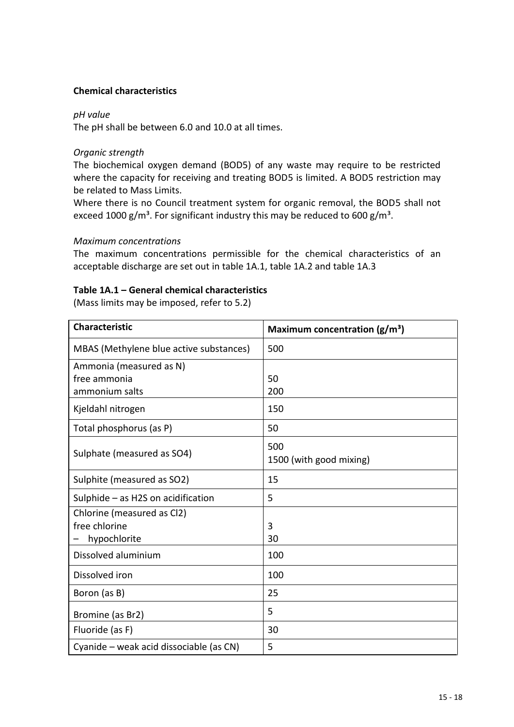#### **Chemical characteristics**

#### *pH value*

The pH shall be between 6.0 and 10.0 at all times.

#### *Organic strength*

The biochemical oxygen demand (BOD5) of any waste may require to be restricted where the capacity for receiving and treating BOD5 is limited. A BOD5 restriction may be related to Mass Limits.

Where there is no Council treatment system for organic removal, the BOD5 shall not exceed 1000 g/m<sup>3</sup>. For significant industry this may be reduced to 600 g/m<sup>3</sup>.

#### *Maximum concentrations*

The maximum concentrations permissible for the chemical characteristics of an acceptable discharge are set out in table 1A.1, table 1A.2 and table 1A.3

#### **Table 1A.1 – General chemical characteristics**

(Mass limits may be imposed, refer to 5.2)

| <b>Characteristic</b>                   | Maximum concentration $(g/m^3)$ |
|-----------------------------------------|---------------------------------|
| MBAS (Methylene blue active substances) | 500                             |
| Ammonia (measured as N)                 |                                 |
| free ammonia                            | 50                              |
| ammonium salts                          | 200                             |
| Kjeldahl nitrogen                       | 150                             |
| Total phosphorus (as P)                 | 50                              |
|                                         | 500                             |
| Sulphate (measured as SO4)              | 1500 (with good mixing)         |
| Sulphite (measured as SO2)              | 15                              |
| Sulphide $-$ as H2S on acidification    | 5                               |
| Chlorine (measured as Cl2)              |                                 |
| free chlorine                           | 3                               |
| hypochlorite                            | 30                              |
| Dissolved aluminium                     | 100                             |
| Dissolved iron                          | 100                             |
| Boron (as B)                            | 25                              |
| Bromine (as Br2)                        | 5                               |
| Fluoride (as F)                         | 30                              |
| Cyanide – weak acid dissociable (as CN) | 5                               |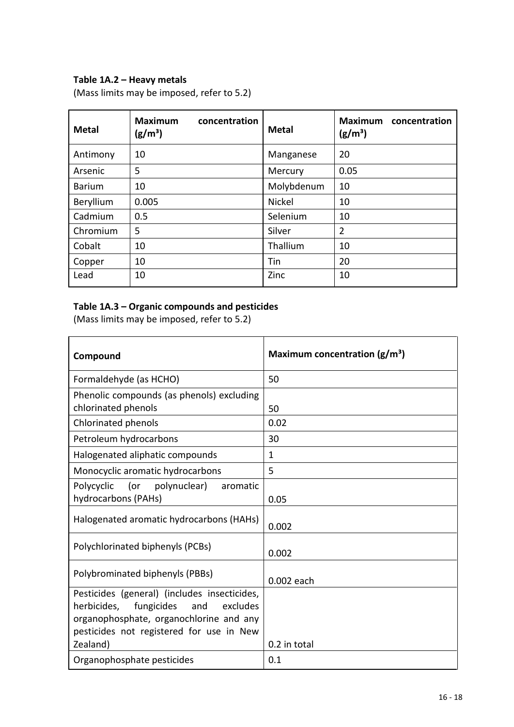# **Table 1A.2 – Heavy metals**

(Mass limits may be imposed, refer to 5.2)

| <b>Metal</b>  | <b>Maximum</b><br>concentration<br>$(g/m^3)$ | <b>Metal</b>  | <b>Maximum</b><br>concentration<br>$(g/m^3)$ |
|---------------|----------------------------------------------|---------------|----------------------------------------------|
| Antimony      | 10                                           | Manganese     | 20                                           |
| Arsenic       | 5                                            | Mercury       | 0.05                                         |
| <b>Barium</b> | 10                                           | Molybdenum    | 10                                           |
| Beryllium     | 0.005                                        | <b>Nickel</b> | 10                                           |
| Cadmium       | 0.5                                          | Selenium      | 10                                           |
| Chromium      | 5                                            | Silver        | $\overline{2}$                               |
| Cobalt        | 10                                           | Thallium      | 10                                           |
| Copper        | 10                                           | Tin           | 20                                           |
| Lead          | 10                                           | Zinc          | 10                                           |

# **Table 1A.3 – Organic compounds and pesticides**

(Mass limits may be imposed, refer to 5.2)

| Compound                                                                                                                                                                                        | Maximum concentration $(g/m^3)$ |
|-------------------------------------------------------------------------------------------------------------------------------------------------------------------------------------------------|---------------------------------|
| Formaldehyde (as HCHO)                                                                                                                                                                          | 50                              |
| Phenolic compounds (as phenols) excluding<br>chlorinated phenols                                                                                                                                | 50                              |
| Chlorinated phenols                                                                                                                                                                             | 0.02                            |
| Petroleum hydrocarbons                                                                                                                                                                          | 30                              |
| Halogenated aliphatic compounds                                                                                                                                                                 | $\mathbf{1}$                    |
| Monocyclic aromatic hydrocarbons                                                                                                                                                                | 5                               |
| Polycyclic<br>(or<br>polynuclear)<br>aromatic<br>hydrocarbons (PAHs)                                                                                                                            | 0.05                            |
| Halogenated aromatic hydrocarbons (HAHs)                                                                                                                                                        | 0.002                           |
| Polychlorinated biphenyls (PCBs)                                                                                                                                                                | 0.002                           |
| Polybrominated biphenyls (PBBs)                                                                                                                                                                 | 0.002 each                      |
| Pesticides (general) (includes insecticides,<br>fungicides<br>excludes<br>herbicides,<br>and<br>organophosphate, organochlorine and any<br>pesticides not registered for use in New<br>Zealand) | 0.2 in total                    |
| Organophosphate pesticides                                                                                                                                                                      | 0.1                             |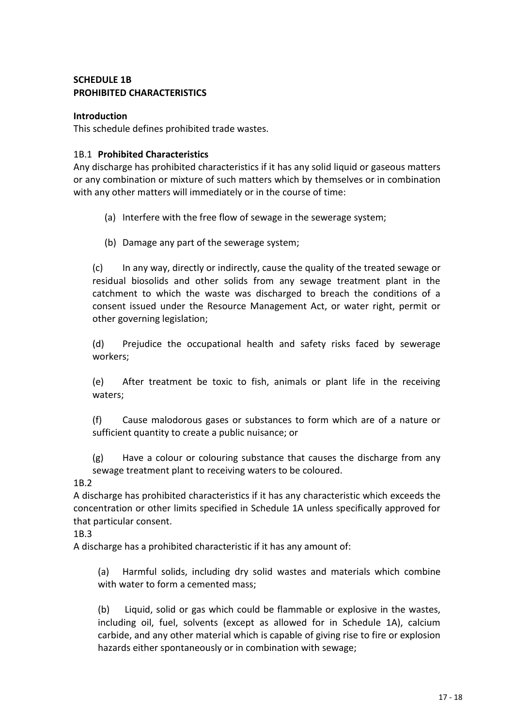# **SCHEDULE 1B PROHIBITED CHARACTERISTICS**

#### **Introduction**

This schedule defines prohibited trade wastes.

#### 1B.1 **Prohibited Characteristics**

Any discharge has prohibited characteristics if it has any solid liquid or gaseous matters or any combination or mixture of such matters which by themselves or in combination with any other matters will immediately or in the course of time:

- (a) Interfere with the free flow of sewage in the sewerage system;
- (b) Damage any part of the sewerage system;

(c) In any way, directly or indirectly, cause the quality of the treated sewage or residual biosolids and other solids from any sewage treatment plant in the catchment to which the waste was discharged to breach the conditions of a consent issued under the Resource Management Act, or water right, permit or other governing legislation;

(d) Prejudice the occupational health and safety risks faced by sewerage workers;

(e) After treatment be toxic to fish, animals or plant life in the receiving waters;

(f) Cause malodorous gases or substances to form which are of a nature or sufficient quantity to create a public nuisance; or

(g) Have a colour or colouring substance that causes the discharge from any sewage treatment plant to receiving waters to be coloured.

1B.2

A discharge has prohibited characteristics if it has any characteristic which exceeds the concentration or other limits specified in Schedule 1A unless specifically approved for that particular consent.

1B.3

A discharge has a prohibited characteristic if it has any amount of:

(a) Harmful solids, including dry solid wastes and materials which combine with water to form a cemented mass;

(b) Liquid, solid or gas which could be flammable or explosive in the wastes, including oil, fuel, solvents (except as allowed for in Schedule 1A), calcium carbide, and any other material which is capable of giving rise to fire or explosion hazards either spontaneously or in combination with sewage;